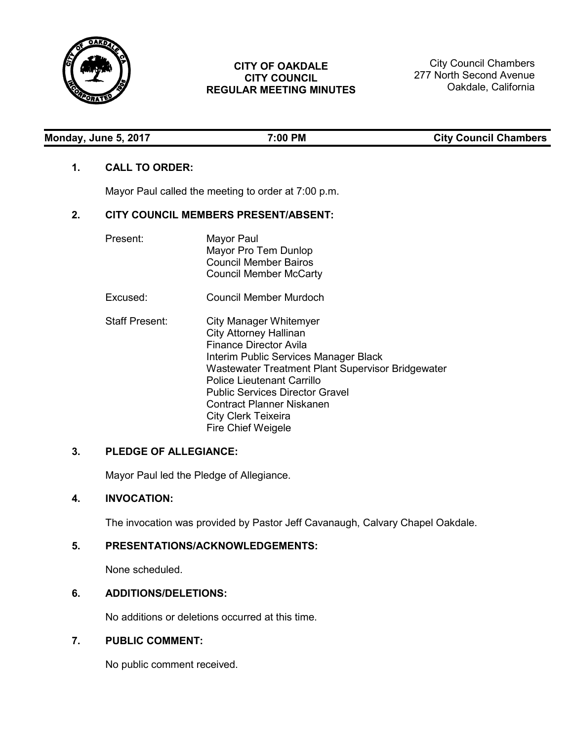

# **CITY OF OAKDALE CITY COUNCIL REGULAR MEETING MINUTES**

City Council Chambers 277 North Second Avenue Oakdale, California

| Monday, June 5, 2017 |  |
|----------------------|--|
|----------------------|--|

**Monday, June 5, 2017 7:00 PM City Council Chambers**

# **1. CALL TO ORDER:**

Mayor Paul called the meeting to order at 7:00 p.m.

# **2. CITY COUNCIL MEMBERS PRESENT/ABSENT:**

| Present:              | Mayor Paul<br>Mayor Pro Tem Dunlop<br><b>Council Member Bairos</b><br><b>Council Member McCarty</b>                                                                                                                                                                                                                                             |
|-----------------------|-------------------------------------------------------------------------------------------------------------------------------------------------------------------------------------------------------------------------------------------------------------------------------------------------------------------------------------------------|
| Excused:              | Council Member Murdoch                                                                                                                                                                                                                                                                                                                          |
| <b>Staff Present:</b> | City Manager Whitemyer<br><b>City Attorney Hallinan</b><br>Finance Director Avila<br>Interim Public Services Manager Black<br>Wastewater Treatment Plant Supervisor Bridgewater<br><b>Police Lieutenant Carrillo</b><br><b>Public Services Director Gravel</b><br>Contract Planner Niskanen<br>City Clerk Teixeira<br><b>Fire Chief Weigele</b> |

# **3. PLEDGE OF ALLEGIANCE:**

Mayor Paul led the Pledge of Allegiance.

# **4. INVOCATION:**

The invocation was provided by Pastor Jeff Cavanaugh, Calvary Chapel Oakdale.

# **5. PRESENTATIONS/ACKNOWLEDGEMENTS:**

None scheduled.

# **6. ADDITIONS/DELETIONS:**

No additions or deletions occurred at this time.

# **7. PUBLIC COMMENT:**

No public comment received.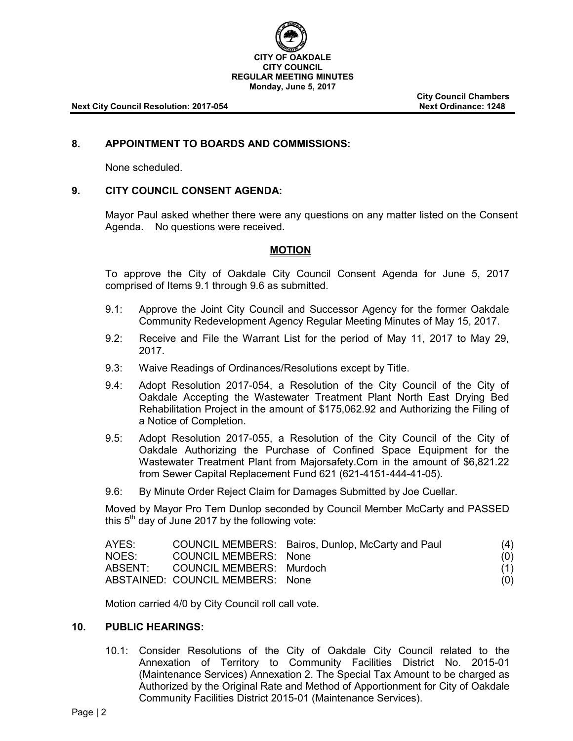

**City Council Chambers**

## **8. APPOINTMENT TO BOARDS AND COMMISSIONS:**

None scheduled.

## **9. CITY COUNCIL CONSENT AGENDA:**

Mayor Paul asked whether there were any questions on any matter listed on the Consent Agenda. No questions were received.

## **MOTION**

To approve the City of Oakdale City Council Consent Agenda for June 5, 2017 comprised of Items 9.1 through 9.6 as submitted.

- 9.1: Approve the Joint City Council and Successor Agency for the former Oakdale Community Redevelopment Agency Regular Meeting Minutes of May 15, 2017.
- 9.2: Receive and File the Warrant List for the period of May 11, 2017 to May 29, 2017.
- 9.3: Waive Readings of Ordinances/Resolutions except by Title.
- 9.4: Adopt Resolution 2017-054, a Resolution of the City Council of the City of Oakdale Accepting the Wastewater Treatment Plant North East Drying Bed Rehabilitation Project in the amount of \$175,062.92 and Authorizing the Filing of a Notice of Completion.
- 9.5: Adopt Resolution 2017-055, a Resolution of the City Council of the City of Oakdale Authorizing the Purchase of Confined Space Equipment for the Wastewater Treatment Plant from Majorsafety.Com in the amount of \$6,821.22 from Sewer Capital Replacement Fund 621 (621-4151-444-41-05).
- 9.6: By Minute Order Reject Claim for Damages Submitted by Joe Cuellar.

Moved by Mayor Pro Tem Dunlop seconded by Council Member McCarty and PASSED this  $5<sup>th</sup>$  day of June 2017 by the following vote:

| AYES: |                                  | COUNCIL MEMBERS: Bairos, Dunlop, McCarty and Paul | (4) |
|-------|----------------------------------|---------------------------------------------------|-----|
| NOES: | COUNCIL MEMBERS: None            |                                                   | (0) |
|       | ABSENT: COUNCIL MEMBERS: Murdoch |                                                   | (1) |
|       | ABSTAINED: COUNCIL MEMBERS: None |                                                   | (0) |

Motion carried 4/0 by City Council roll call vote.

## **10. PUBLIC HEARINGS:**

10.1: Consider Resolutions of the City of Oakdale City Council related to the Annexation of Territory to Community Facilities District No. 2015-01 (Maintenance Services) Annexation 2. The Special Tax Amount to be charged as Authorized by the Original Rate and Method of Apportionment for City of Oakdale Community Facilities District 2015-01 (Maintenance Services).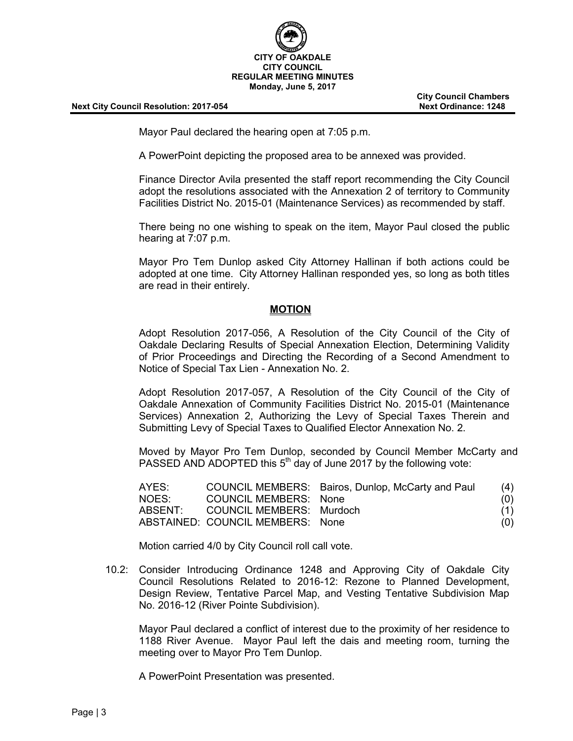

**City Council Chambers**

Mayor Paul declared the hearing open at 7:05 p.m.

A PowerPoint depicting the proposed area to be annexed was provided.

Finance Director Avila presented the staff report recommending the City Council adopt the resolutions associated with the Annexation 2 of territory to Community Facilities District No. 2015-01 (Maintenance Services) as recommended by staff.

There being no one wishing to speak on the item, Mayor Paul closed the public hearing at 7:07 p.m.

Mayor Pro Tem Dunlop asked City Attorney Hallinan if both actions could be adopted at one time. City Attorney Hallinan responded yes, so long as both titles are read in their entirely.

#### **MOTION**

Adopt Resolution 2017-056, A Resolution of the City Council of the City of Oakdale Declaring Results of Special Annexation Election, Determining Validity of Prior Proceedings and Directing the Recording of a Second Amendment to Notice of Special Tax Lien - Annexation No. 2.

Adopt Resolution 2017-057, A Resolution of the City Council of the City of Oakdale Annexation of Community Facilities District No. 2015-01 (Maintenance Services) Annexation 2, Authorizing the Levy of Special Taxes Therein and Submitting Levy of Special Taxes to Qualified Elector Annexation No. 2.

Moved by Mayor Pro Tem Dunlop, seconded by Council Member McCarty and PASSED AND ADOPTED this  $5<sup>th</sup>$  day of June 2017 by the following vote:

| AYES:   |                                  | COUNCIL MEMBERS: Bairos, Dunlop, McCarty and Paul | (4) |
|---------|----------------------------------|---------------------------------------------------|-----|
| NOES:   | COUNCIL MEMBERS: None            |                                                   | (0) |
| ABSENT: | COUNCIL MEMBERS: Murdoch         |                                                   | (1) |
|         | ABSTAINED: COUNCIL MEMBERS: None |                                                   | (O) |

Motion carried 4/0 by City Council roll call vote.

10.2: Consider Introducing Ordinance 1248 and Approving City of Oakdale City Council Resolutions Related to 2016-12: Rezone to Planned Development, Design Review, Tentative Parcel Map, and Vesting Tentative Subdivision Map No. 2016-12 (River Pointe Subdivision).

Mayor Paul declared a conflict of interest due to the proximity of her residence to 1188 River Avenue. Mayor Paul left the dais and meeting room, turning the meeting over to Mayor Pro Tem Dunlop.

A PowerPoint Presentation was presented.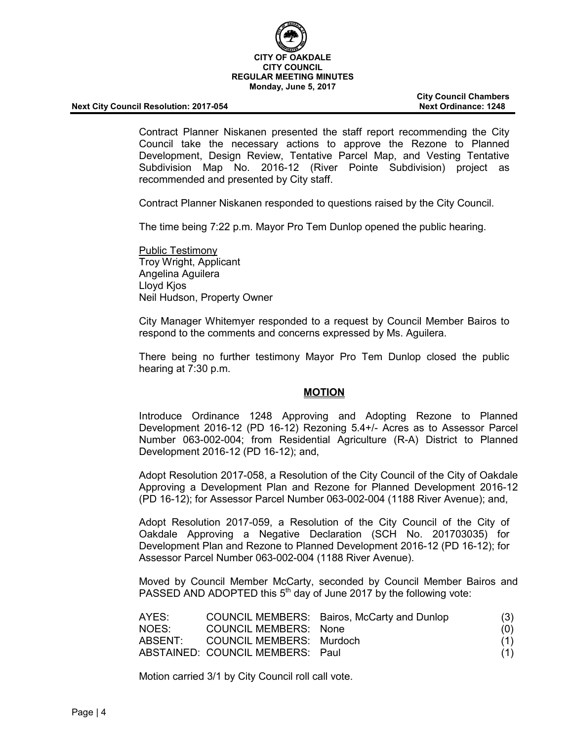

**City Council Chambers**

Contract Planner Niskanen presented the staff report recommending the City Council take the necessary actions to approve the Rezone to Planned Development, Design Review, Tentative Parcel Map, and Vesting Tentative Subdivision Map No. 2016-12 (River Pointe Subdivision) project as recommended and presented by City staff.

Contract Planner Niskanen responded to questions raised by the City Council.

The time being 7:22 p.m. Mayor Pro Tem Dunlop opened the public hearing.

Public Testimony Troy Wright, Applicant Angelina Aguilera Lloyd Kjos Neil Hudson, Property Owner

City Manager Whitemyer responded to a request by Council Member Bairos to respond to the comments and concerns expressed by Ms. Aguilera.

There being no further testimony Mayor Pro Tem Dunlop closed the public hearing at 7:30 p.m.

#### **MOTION**

Introduce Ordinance 1248 Approving and Adopting Rezone to Planned Development 2016-12 (PD 16-12) Rezoning 5.4+/- Acres as to Assessor Parcel Number 063-002-004; from Residential Agriculture (R-A) District to Planned Development 2016-12 (PD 16-12); and,

Adopt Resolution 2017-058, a Resolution of the City Council of the City of Oakdale Approving a Development Plan and Rezone for Planned Development 2016-12 (PD 16-12); for Assessor Parcel Number 063-002-004 (1188 River Avenue); and,

Adopt Resolution 2017-059, a Resolution of the City Council of the City of Oakdale Approving a Negative Declaration (SCH No. 201703035) for Development Plan and Rezone to Planned Development 2016-12 (PD 16-12); for Assessor Parcel Number 063-002-004 (1188 River Avenue).

Moved by Council Member McCarty, seconded by Council Member Bairos and PASSED AND ADOPTED this  $5<sup>th</sup>$  day of June 2017 by the following vote:

| AYES:   |                                  | COUNCIL MEMBERS: Bairos, McCarty and Dunlop | (3) |
|---------|----------------------------------|---------------------------------------------|-----|
| NOES:   | COUNCIL MEMBERS: None            |                                             | (0) |
| ABSENT: | COUNCIL MEMBERS: Murdoch         |                                             | (1) |
|         | ABSTAINED: COUNCIL MEMBERS: Paul |                                             | (1) |

Motion carried 3/1 by City Council roll call vote.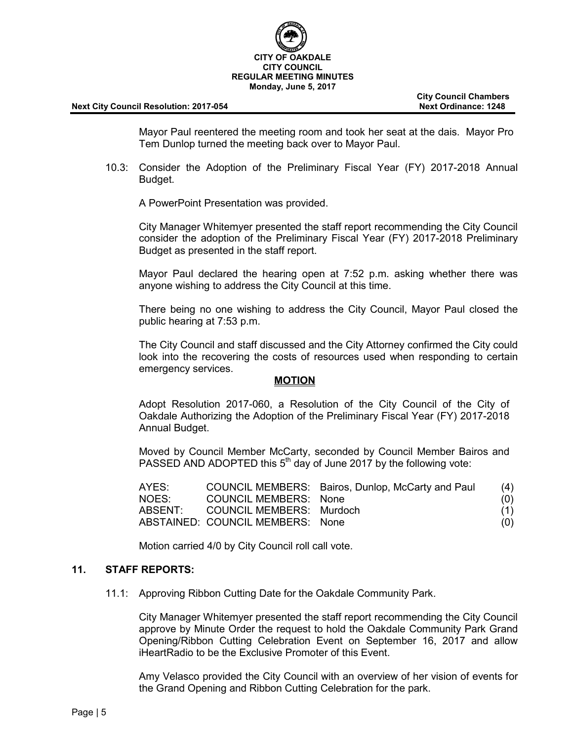

**City Council Chambers**

Mayor Paul reentered the meeting room and took her seat at the dais. Mayor Pro Tem Dunlop turned the meeting back over to Mayor Paul.

10.3: Consider the Adoption of the Preliminary Fiscal Year (FY) 2017-2018 Annual Budget.

A PowerPoint Presentation was provided.

City Manager Whitemyer presented the staff report recommending the City Council consider the adoption of the Preliminary Fiscal Year (FY) 2017-2018 Preliminary Budget as presented in the staff report.

Mayor Paul declared the hearing open at 7:52 p.m. asking whether there was anyone wishing to address the City Council at this time.

There being no one wishing to address the City Council, Mayor Paul closed the public hearing at 7:53 p.m.

The City Council and staff discussed and the City Attorney confirmed the City could look into the recovering the costs of resources used when responding to certain emergency services.

#### **MOTION**

Adopt Resolution 2017-060, a Resolution of the City Council of the City of Oakdale Authorizing the Adoption of the Preliminary Fiscal Year (FY) 2017-2018 Annual Budget.

Moved by Council Member McCarty, seconded by Council Member Bairos and PASSED AND ADOPTED this  $5<sup>th</sup>$  day of June 2017 by the following vote:

| AYES:   |                                  | COUNCIL MEMBERS: Bairos, Dunlop, McCarty and Paul | (4) |
|---------|----------------------------------|---------------------------------------------------|-----|
| NOES:   | COUNCIL MEMBERS: None            |                                                   | (0) |
| ABSENT: | COUNCIL MEMBERS: Murdoch         |                                                   | (1) |
|         | ABSTAINED: COUNCIL MEMBERS: None |                                                   | (0) |

Motion carried 4/0 by City Council roll call vote.

#### **11. STAFF REPORTS:**

11.1: Approving Ribbon Cutting Date for the Oakdale Community Park.

City Manager Whitemyer presented the staff report recommending the City Council approve by Minute Order the request to hold the Oakdale Community Park Grand Opening/Ribbon Cutting Celebration Event on September 16, 2017 and allow iHeartRadio to be the Exclusive Promoter of this Event.

Amy Velasco provided the City Council with an overview of her vision of events for the Grand Opening and Ribbon Cutting Celebration for the park.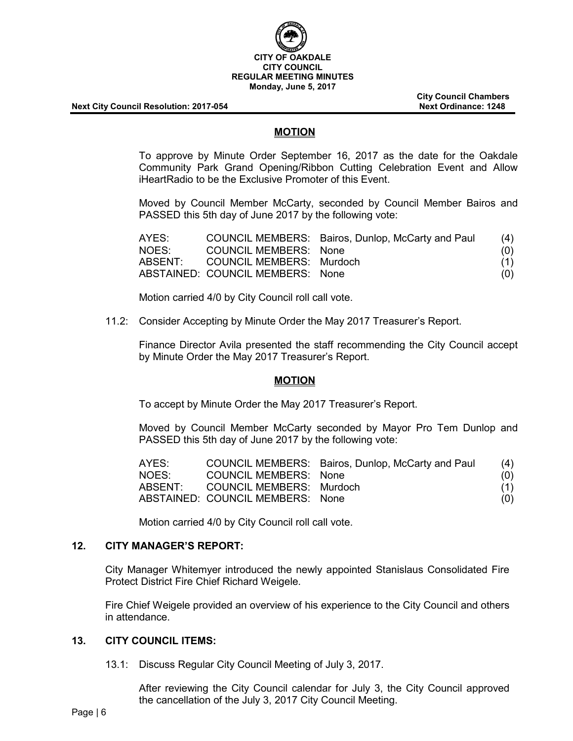

**City Council Chambers**

## **MOTION**

To approve by Minute Order September 16, 2017 as the date for the Oakdale Community Park Grand Opening/Ribbon Cutting Celebration Event and Allow iHeartRadio to be the Exclusive Promoter of this Event.

Moved by Council Member McCarty, seconded by Council Member Bairos and PASSED this 5th day of June 2017 by the following vote:

| AYES:   |                                  | COUNCIL MEMBERS: Bairos, Dunlop, McCarty and Paul | (4) |
|---------|----------------------------------|---------------------------------------------------|-----|
| NOES:   | COUNCIL MEMBERS: None            |                                                   | (0) |
| ABSENT: | COUNCIL MEMBERS: Murdoch         |                                                   | (1) |
|         | ABSTAINED: COUNCIL MEMBERS: None |                                                   | (0) |

Motion carried 4/0 by City Council roll call vote.

11.2: Consider Accepting by Minute Order the May 2017 Treasurer's Report.

Finance Director Avila presented the staff recommending the City Council accept by Minute Order the May 2017 Treasurer's Report.

#### **MOTION**

To accept by Minute Order the May 2017 Treasurer's Report.

Moved by Council Member McCarty seconded by Mayor Pro Tem Dunlop and PASSED this 5th day of June 2017 by the following vote:

| AYES:   |                                  | COUNCIL MEMBERS: Bairos, Dunlop, McCarty and Paul | (4) |
|---------|----------------------------------|---------------------------------------------------|-----|
| NOES:   | <b>COUNCIL MEMBERS: None</b>     |                                                   | (0) |
| ABSENT: | COUNCIL MEMBERS: Murdoch         |                                                   | (1) |
|         | ABSTAINED: COUNCIL MEMBERS: None |                                                   | (O) |

Motion carried 4/0 by City Council roll call vote.

## **12. CITY MANAGER'S REPORT:**

City Manager Whitemyer introduced the newly appointed Stanislaus Consolidated Fire Protect District Fire Chief Richard Weigele.

Fire Chief Weigele provided an overview of his experience to the City Council and others in attendance.

## **13. CITY COUNCIL ITEMS:**

13.1: Discuss Regular City Council Meeting of July 3, 2017.

After reviewing the City Council calendar for July 3, the City Council approved the cancellation of the July 3, 2017 City Council Meeting.